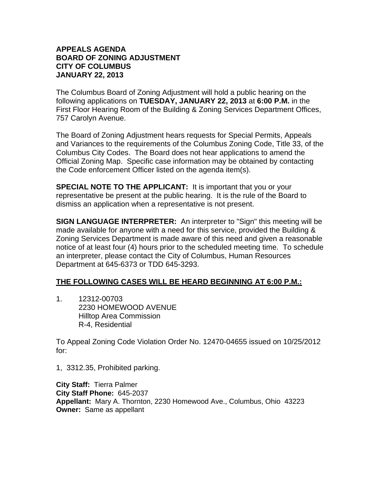## **APPEALS AGENDA BOARD OF ZONING ADJUSTMENT CITY OF COLUMBUS JANUARY 22, 2013**

The Columbus Board of Zoning Adjustment will hold a public hearing on the following applications on **TUESDAY, JANUARY 22, 2013** at **6:00 P.M.** in the First Floor Hearing Room of the Building & Zoning Services Department Offices, 757 Carolyn Avenue.

The Board of Zoning Adjustment hears requests for Special Permits, Appeals and Variances to the requirements of the Columbus Zoning Code, Title 33, of the Columbus City Codes. The Board does not hear applications to amend the Official Zoning Map. Specific case information may be obtained by contacting the Code enforcement Officer listed on the agenda item(s).

**SPECIAL NOTE TO THE APPLICANT:** It is important that you or your representative be present at the public hearing. It is the rule of the Board to dismiss an application when a representative is not present.

**SIGN LANGUAGE INTERPRETER:** An interpreter to "Sign" this meeting will be made available for anyone with a need for this service, provided the Building & Zoning Services Department is made aware of this need and given a reasonable notice of at least four (4) hours prior to the scheduled meeting time. To schedule an interpreter, please contact the City of Columbus, Human Resources Department at 645-6373 or TDD 645-3293.

## **THE FOLLOWING CASES WILL BE HEARD BEGINNING AT 6:00 P.M.:**

1. 12312-00703 2230 HOMEWOOD AVENUE Hilltop Area Commission R-4, Residential

To Appeal Zoning Code Violation Order No. 12470-04655 issued on 10/25/2012 for:

1, 3312.35, Prohibited parking.

**City Staff:** Tierra Palmer **City Staff Phone:** 645-2037 **Appellant:** Mary A. Thornton, 2230 Homewood Ave., Columbus, Ohio 43223 **Owner:** Same as appellant